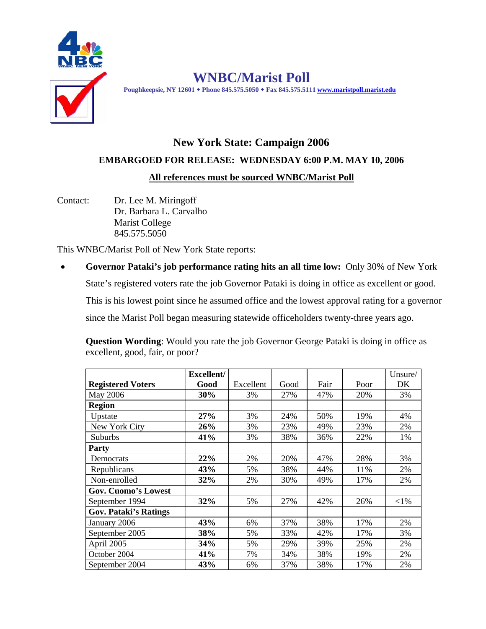

**WNBC/Marist Poll** 

 **Poughkeepsie, NY 12601 Phone 845.575.5050 Fax 845.575.5111 www.maristpoll.marist.edu**

## **New York State: Campaign 2006 EMBARGOED FOR RELEASE: WEDNESDAY 6:00 P.M. MAY 10, 2006 All references must be sourced WNBC/Marist Poll**

Contact: Dr. Lee M. Miringoff Dr. Barbara L. Carvalho Marist College 845.575.5050

This WNBC/Marist Poll of New York State reports:

• **Governor Pataki's job performance rating hits an all time low:** Only 30% of New York State's registered voters rate the job Governor Pataki is doing in office as excellent or good. This is his lowest point since he assumed office and the lowest approval rating for a governor since the Marist Poll began measuring statewide officeholders twenty-three years ago.

**Question Wording:** Would you rate the job Governor George Pataki is doing in office as excellent, good, fair, or poor?

|                              | Excellent/ |           |      |      |      | Unsure/ |
|------------------------------|------------|-----------|------|------|------|---------|
| <b>Registered Voters</b>     | Good       | Excellent | Good | Fair | Poor | DK      |
| May 2006                     | 30%        | 3%        | 27%  | 47%  | 20%  | 3%      |
| <b>Region</b>                |            |           |      |      |      |         |
| Upstate                      | 27%        | 3%        | 24%  | 50%  | 19%  | 4%      |
| New York City                | 26%        | 3%        | 23%  | 49%  | 23%  | 2%      |
| Suburbs                      | 41%        | 3%        | 38%  | 36%  | 22%  | 1%      |
| Party                        |            |           |      |      |      |         |
| Democrats                    | 22%        | 2%        | 20%  | 47%  | 28%  | 3%      |
| Republicans                  | 43%        | 5%        | 38%  | 44%  | 11%  | 2%      |
| Non-enrolled                 | 32%        | 2%        | 30%  | 49%  | 17%  | 2%      |
| <b>Gov. Cuomo's Lowest</b>   |            |           |      |      |      |         |
| September 1994               | 32%        | 5%        | 27%  | 42%  | 26%  | $<1\%$  |
| <b>Gov. Pataki's Ratings</b> |            |           |      |      |      |         |
| January 2006                 | 43%        | 6%        | 37%  | 38%  | 17%  | 2%      |
| September 2005               | 38%        | 5%        | 33%  | 42%  | 17%  | 3%      |
| April 2005                   | 34%        | 5%        | 29%  | 39%  | 25%  | 2%      |
| October 2004                 | 41%        | 7%        | 34%  | 38%  | 19%  | 2%      |
| September 2004               | 43%        | 6%        | 37%  | 38%  | 17%  | 2%      |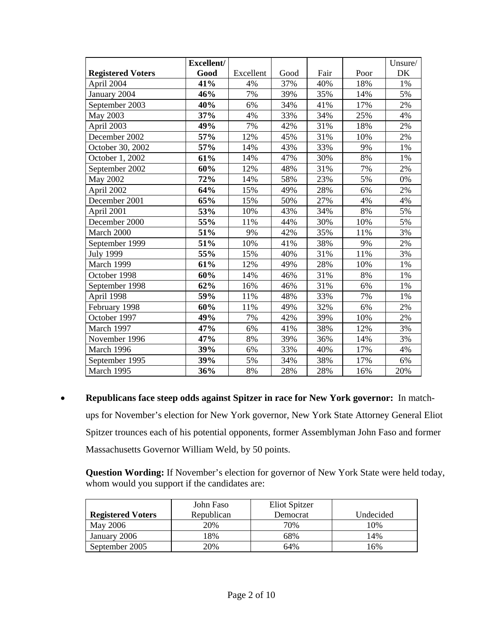|                          | Excellent/ |           |      |      |      | Unsure/ |
|--------------------------|------------|-----------|------|------|------|---------|
| <b>Registered Voters</b> | Good       | Excellent | Good | Fair | Poor | DK      |
| April 2004               | 41%        | 4%        | 37%  | 40%  | 18%  | 1%      |
| January 2004             | 46%        | 7%        | 39%  | 35%  | 14%  | 5%      |
| September 2003           | 40%        | 6%        | 34%  | 41%  | 17%  | 2%      |
| <b>May 2003</b>          | 37%        | 4%        | 33%  | 34%  | 25%  | 4%      |
| April 2003               | 49%        | 7%        | 42%  | 31%  | 18%  | 2%      |
| December 2002            | 57%        | 12%       | 45%  | 31%  | 10%  | 2%      |
| October 30, 2002         | 57%        | 14%       | 43%  | 33%  | 9%   | 1%      |
| October 1, 2002          | 61%        | 14%       | 47%  | 30%  | 8%   | 1%      |
| September 2002           | 60%        | 12%       | 48%  | 31%  | 7%   | 2%      |
| <b>May 2002</b>          | 72%        | 14%       | 58%  | 23%  | 5%   | 0%      |
| April 2002               | 64%        | 15%       | 49%  | 28%  | 6%   | 2%      |
| December 2001            | 65%        | 15%       | 50%  | 27%  | 4%   | 4%      |
| April 2001               | 53%        | 10%       | 43%  | 34%  | 8%   | 5%      |
| December 2000            | 55%        | 11%       | 44%  | 30%  | 10%  | 5%      |
| March 2000               | 51%        | 9%        | 42%  | 35%  | 11%  | 3%      |
| September 1999           | 51%        | 10%       | 41%  | 38%  | 9%   | 2%      |
| <b>July 1999</b>         | 55%        | 15%       | 40%  | 31%  | 11%  | 3%      |
| March 1999               | 61%        | 12%       | 49%  | 28%  | 10%  | 1%      |
| October 1998             | 60%        | 14%       | 46%  | 31%  | 8%   | 1%      |
| September 1998           | 62%        | 16%       | 46%  | 31%  | 6%   | 1%      |
| April 1998               | 59%        | 11%       | 48%  | 33%  | 7%   | 1%      |
| February 1998            | 60%        | 11%       | 49%  | 32%  | 6%   | 2%      |
| October 1997             | 49%        | 7%        | 42%  | 39%  | 10%  | 2%      |
| March 1997               | 47%        | 6%        | 41%  | 38%  | 12%  | 3%      |
| November 1996            | 47%        | 8%        | 39%  | 36%  | 14%  | 3%      |
| March 1996               | 39%        | 6%        | 33%  | 40%  | 17%  | 4%      |
| September 1995           | 39%        | 5%        | 34%  | 38%  | 17%  | 6%      |
| March 1995               | 36%        | 8%        | 28%  | 28%  | 16%  | 20%     |

• **Republicans face steep odds against Spitzer in race for New York governor:** In matchups for November's election for New York governor, New York State Attorney General Eliot Spitzer trounces each of his potential opponents, former Assemblyman John Faso and former Massachusetts Governor William Weld, by 50 points.

**Question Wording:** If November's election for governor of New York State were held today, whom would you support if the candidates are:

|                          | John Faso  | <b>Eliot Spitzer</b> |           |
|--------------------------|------------|----------------------|-----------|
| <b>Registered Voters</b> | Republican | Democrat             | Undecided |
| May 2006                 | 20%        | 70%                  | 10%       |
| January 2006             | 18%        | 68%                  | 14%       |
| September 2005           | 20%        | 64%                  | 16%       |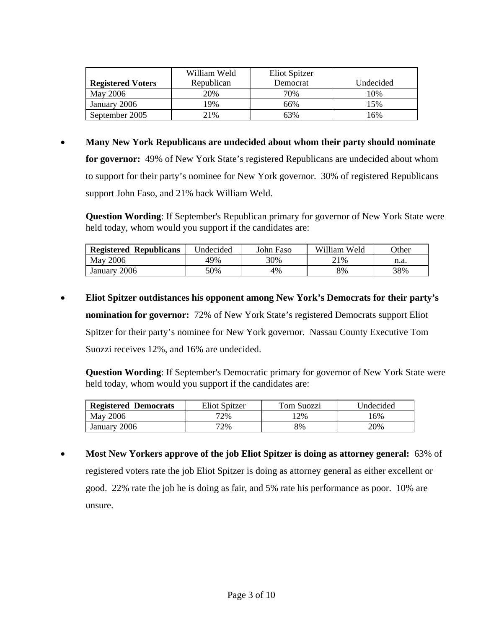|                          | William Weld | Eliot Spitzer |           |
|--------------------------|--------------|---------------|-----------|
| <b>Registered Voters</b> | Republican   | Democrat      | Undecided |
| May 2006                 | 20%          | 70%           | 10%       |
| January 2006             | 19%          | 66%           | 15%       |
| September 2005           | 21%          | 63%           | 6%        |

• **Many New York Republicans are undecided about whom their party should nominate for governor:** 49% of New York State's registered Republicans are undecided about whom to support for their party's nominee for New York governor. 30% of registered Republicans

support John Faso, and 21% back William Weld.

**Question Wording**: If September's Republican primary for governor of New York State were held today, whom would you support if the candidates are:

| <b>Registered Republicans</b> | <b>Jndecided</b><br>John Faso |     | William Weld | <b>Other</b> |
|-------------------------------|-------------------------------|-----|--------------|--------------|
| May 2006                      | 49%                           | 30% | 21%          | n.a.         |
| January 2006                  | 50%                           | 4%  | 8%           | 38%          |

• **Eliot Spitzer outdistances his opponent among New York's Democrats for their party's** 

**nomination for governor:** 72% of New York State's registered Democrats support Eliot Spitzer for their party's nominee for New York governor. Nassau County Executive Tom Suozzi receives 12%, and 16% are undecided.

**Question Wording**: If September's Democratic primary for governor of New York State were held today, whom would you support if the candidates are:

| <b>Registered Democrats</b> | Eliot Spitzer | Tom Suozzi | Undecided |  |
|-----------------------------|---------------|------------|-----------|--|
| May 2006                    | 72%           | $2\%$      | 16%       |  |
| January 2006                | 72%           | 8%         | 20%       |  |

• **Most New Yorkers approve of the job Eliot Spitzer is doing as attorney general:** 63% of registered voters rate the job Eliot Spitzer is doing as attorney general as either excellent or good. 22% rate the job he is doing as fair, and 5% rate his performance as poor. 10% are unsure.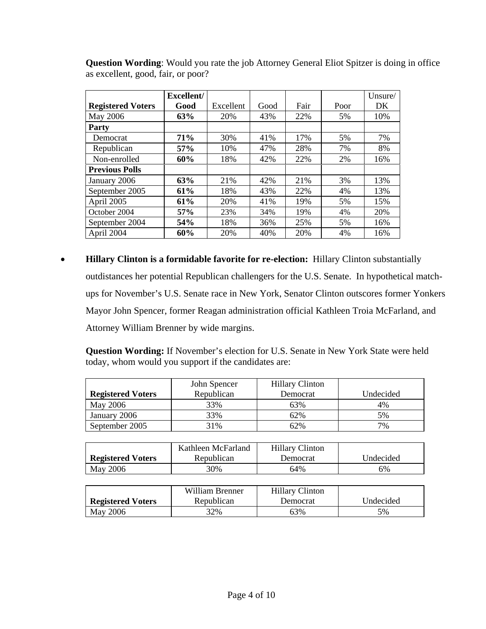|                          | Excellent/ |           |      |      |      | Unsure/ |
|--------------------------|------------|-----------|------|------|------|---------|
| <b>Registered Voters</b> | Good       | Excellent | Good | Fair | Poor | DK      |
| May 2006                 | 63%        | 20%       | 43%  | 22%  | 5%   | 10%     |
| Party                    |            |           |      |      |      |         |
| Democrat                 | 71%        | 30%       | 41%  | 17%  | 5%   | 7%      |
| Republican               | 57%        | 10%       | 47%  | 28%  | 7%   | 8%      |
| Non-enrolled             | 60%        | 18%       | 42%  | 22%  | 2%   | 16%     |
| <b>Previous Polls</b>    |            |           |      |      |      |         |
| January 2006             | 63%        | 21%       | 42%  | 21%  | 3%   | 13%     |
| September 2005           | 61%        | 18%       | 43%  | 22%  | 4%   | 13%     |
| April 2005               | 61%        | 20%       | 41%  | 19%  | 5%   | 15%     |
| October 2004             | 57%        | 23%       | 34%  | 19%  | 4%   | 20%     |
| September 2004           | 54%        | 18%       | 36%  | 25%  | 5%   | 16%     |
| April 2004               | 60%        | 20%       | 40%  | 20%  | 4%   | 16%     |

**Question Wording**: Would you rate the job Attorney General Eliot Spitzer is doing in office as excellent, good, fair, or poor?

• **Hillary Clinton is a formidable favorite for re-election:** Hillary Clinton substantially outdistances her potential Republican challengers for the U.S. Senate. In hypothetical matchups for November's U.S. Senate race in New York, Senator Clinton outscores former Yonkers Mayor John Spencer, former Reagan administration official Kathleen Troia McFarland, and Attorney William Brenner by wide margins.

**Question Wording:** If November's election for U.S. Senate in New York State were held today, whom would you support if the candidates are:

|                          | John Spencer | <b>Hillary Clinton</b> |           |
|--------------------------|--------------|------------------------|-----------|
| <b>Registered Voters</b> | Republican   | Democrat               | Undecided |
| May 2006                 | 33%          | 63%                    | 4%        |
| January 2006             | 33%          | 62%                    | 5%        |
| September 2005           | 31%          | 62%                    | 7%        |

|                          | Kathleen McFarland | <b>Hillary Clinton</b> |           |
|--------------------------|--------------------|------------------------|-----------|
| <b>Registered Voters</b> | Republican         | Democrat               | Undecided |
| May 2006                 | 30%                | 64%                    | 6%        |

|                          | William Brenner | <b>Hillary Clinton</b> |           |
|--------------------------|-----------------|------------------------|-----------|
| <b>Registered Voters</b> | Republican      | Democrat               | Undecided |
| May 2006                 | 32%             | 63%                    | 5%        |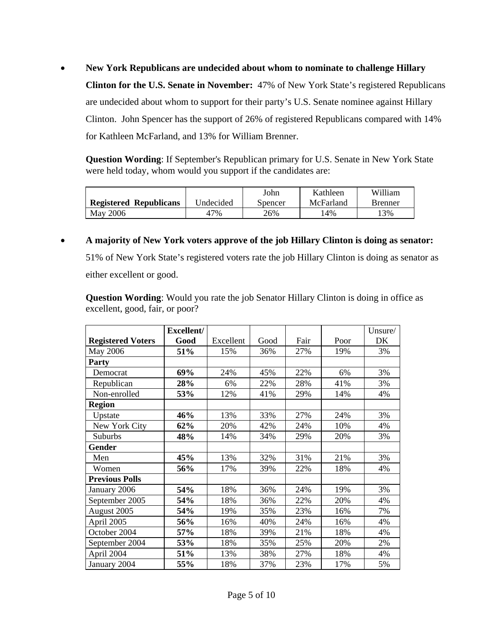• **New York Republicans are undecided about whom to nominate to challenge Hillary Clinton for the U.S. Senate in November:** 47% of New York State's registered Republicans are undecided about whom to support for their party's U.S. Senate nominee against Hillary Clinton. John Spencer has the support of 26% of registered Republicans compared with 14% for Kathleen McFarland, and 13% for William Brenner.

**Question Wording**: If September's Republican primary for U.S. Senate in New York State were held today, whom would you support if the candidates are:

|                               |                  | John    | Kathleen  | William         |
|-------------------------------|------------------|---------|-----------|-----------------|
| <b>Registered Republicans</b> | <b>Jndecided</b> | Spencer | McFarland | <b>B</b> renner |
| May 2006                      | 47%              | 26%     | l 4%      | '3%             |

• **A majority of New York voters approve of the job Hillary Clinton is doing as senator:**  51% of New York State's registered voters rate the job Hillary Clinton is doing as senator as either excellent or good.

**Question Wording**: Would you rate the job Senator Hillary Clinton is doing in office as excellent, good, fair, or poor?

|                          | Excellent/ |           |      |      |      | Unsure/ |
|--------------------------|------------|-----------|------|------|------|---------|
| <b>Registered Voters</b> | Good       | Excellent | Good | Fair | Poor | DK      |
| <b>May 2006</b>          | 51%        | 15%       | 36%  | 27%  | 19%  | 3%      |
| Party                    |            |           |      |      |      |         |
| Democrat                 | 69%        | 24%       | 45%  | 22%  | 6%   | 3%      |
| Republican               | 28%        | 6%        | 22%  | 28%  | 41%  | 3%      |
| Non-enrolled             | 53%        | 12%       | 41%  | 29%  | 14%  | 4%      |
| <b>Region</b>            |            |           |      |      |      |         |
| Upstate                  | 46%        | 13%       | 33%  | 27%  | 24%  | 3%      |
| New York City            | 62%        | 20%       | 42%  | 24%  | 10%  | 4%      |
| Suburbs                  | 48%        | 14%       | 34%  | 29%  | 20%  | 3%      |
| Gender                   |            |           |      |      |      |         |
| Men                      | 45%        | 13%       | 32%  | 31%  | 21%  | 3%      |
| Women                    | 56%        | 17%       | 39%  | 22%  | 18%  | 4%      |
| <b>Previous Polls</b>    |            |           |      |      |      |         |
| January 2006             | 54%        | 18%       | 36%  | 24%  | 19%  | 3%      |
| September 2005           | 54%        | 18%       | 36%  | 22%  | 20%  | 4%      |
| August 2005              | 54%        | 19%       | 35%  | 23%  | 16%  | 7%      |
| April 2005               | 56%        | 16%       | 40%  | 24%  | 16%  | 4%      |
| October 2004             | 57%        | 18%       | 39%  | 21%  | 18%  | 4%      |
| September 2004           | 53%        | 18%       | 35%  | 25%  | 20%  | 2%      |
| April 2004               | 51%        | 13%       | 38%  | 27%  | 18%  | 4%      |
| January 2004             | 55%        | 18%       | 37%  | 23%  | 17%  | 5%      |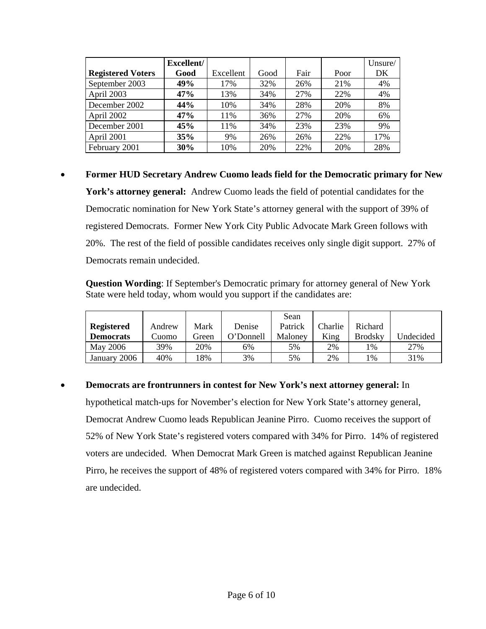|                          | Excellent/ |           |      |      |      | Unsure/ |
|--------------------------|------------|-----------|------|------|------|---------|
| <b>Registered Voters</b> | Good       | Excellent | Good | Fair | Poor | DK      |
| September 2003           | 49%        | 17%       | 32%  | 26%  | 21%  | 4%      |
| April 2003               | 47%        | 13%       | 34%  | 27%  | 22%  | 4%      |
| December 2002            | 44%        | 10%       | 34%  | 28%  | 20%  | 8%      |
| April 2002               | 47%        | 11%       | 36%  | 27%  | 20%  | 6%      |
| December 2001            | 45%        | 11%       | 34%  | 23%  | 23%  | 9%      |
| April 2001               | 35%        | 9%        | 26%  | 26%  | 22%  | 17%     |
| February 2001            | 30%        | 10%       | 20%  | 22%  | 20%  | 28%     |

## • **Former HUD Secretary Andrew Cuomo leads field for the Democratic primary for New**

**York's attorney general:** Andrew Cuomo leads the field of potential candidates for the Democratic nomination for New York State's attorney general with the support of 39% of registered Democrats. Former New York City Public Advocate Mark Green follows with 20%. The rest of the field of possible candidates receives only single digit support. 27% of Democrats remain undecided.

**Question Wording**: If September's Democratic primary for attorney general of New York State were held today, whom would you support if the candidates are:

|                   |        |       |           | Sean    |         |                |           |
|-------------------|--------|-------|-----------|---------|---------|----------------|-----------|
| <b>Registered</b> | Andrew | Mark  | Denise    | Patrick | Charlie | Richard        |           |
| <b>Democrats</b>  | Cuomo  | Green | O'Donnell | Maloney | King    | <b>Brodsky</b> | Undecided |
| May 2006          | 39%    | 20%   | 6%        | 5%      | 2%      | 1%             | 27%       |
| January 2006      | 40%    | 18%   | 3%        | 5%      | 2%      | 1%             | 31%       |

• **Democrats are frontrunners in contest for New York's next attorney general:** In hypothetical match-ups for November's election for New York State's attorney general, Democrat Andrew Cuomo leads Republican Jeanine Pirro. Cuomo receives the support of 52% of New York State's registered voters compared with 34% for Pirro. 14% of registered voters are undecided. When Democrat Mark Green is matched against Republican Jeanine Pirro, he receives the support of 48% of registered voters compared with 34% for Pirro. 18% are undecided.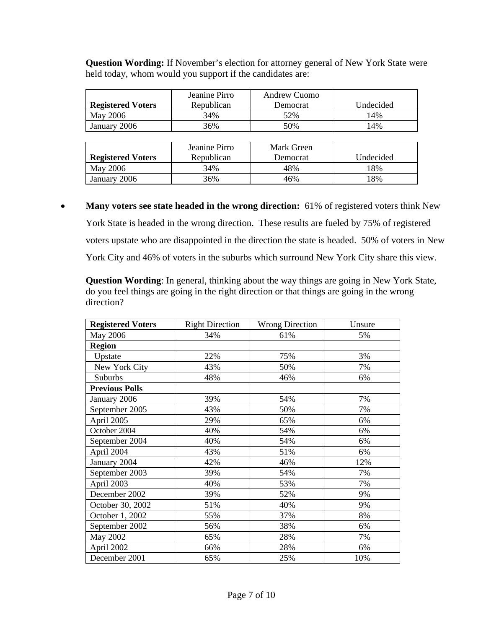**Question Wording:** If November's election for attorney general of New York State were held today, whom would you support if the candidates are:

|                          | Jeanine Pirro | <b>Andrew Cuomo</b> |           |
|--------------------------|---------------|---------------------|-----------|
| <b>Registered Voters</b> | Republican    | Democrat            | Undecided |
| May 2006                 | 34%           | 52%                 | 14%       |
| January 2006             | 36%           | 50%                 | 14%       |

|                          | Jeanine Pirro | Mark Green |           |
|--------------------------|---------------|------------|-----------|
| <b>Registered Voters</b> | Republican    | Democrat   | Undecided |
| May 2006                 | 34%           | 48%        | 18%       |
| January 2006             | 36%           | 46%        | 8%        |

• **Many voters see state headed in the wrong direction:** 61% of registered voters think New York State is headed in the wrong direction. These results are fueled by 75% of registered voters upstate who are disappointed in the direction the state is headed. 50% of voters in New York City and 46% of voters in the suburbs which surround New York City share this view.

**Question Wording**: In general, thinking about the way things are going in New York State, do you feel things are going in the right direction or that things are going in the wrong direction?

| <b>Registered Voters</b> | <b>Right Direction</b> | <b>Wrong Direction</b> | Unsure |
|--------------------------|------------------------|------------------------|--------|
| May 2006                 | 34%                    | 61%                    | 5%     |
| <b>Region</b>            |                        |                        |        |
| Upstate                  | 22%                    | 75%                    | 3%     |
| New York City            | 43%                    | 50%                    | 7%     |
| Suburbs                  | 48%                    | 46%                    | 6%     |
| <b>Previous Polls</b>    |                        |                        |        |
| January 2006             | 39%                    | 54%                    | 7%     |
| September 2005           | 43%                    | 50%                    | 7%     |
| April 2005               | 29%                    | 65%                    | 6%     |
| October 2004             | 40%                    | 54%                    | 6%     |
| September 2004           | 40%                    | 54%                    | 6%     |
| April 2004               | 43%                    | 51%                    | 6%     |
| January 2004             | 42%                    | 46%                    | 12%    |
| September 2003           | 39%                    | 54%                    | 7%     |
| April 2003               | 40%                    | 53%                    | 7%     |
| December 2002            | 39%                    | 52%                    | 9%     |
| October 30, 2002         | 51%                    | 40%                    | 9%     |
| October 1, 2002          | 55%                    | 37%                    | 8%     |
| September 2002           | 56%                    | 38%                    | 6%     |
| May 2002                 | 65%                    | 28%                    | 7%     |
| April 2002               | 66%                    | 28%                    | 6%     |
| December 2001            | 65%                    | 25%                    | 10%    |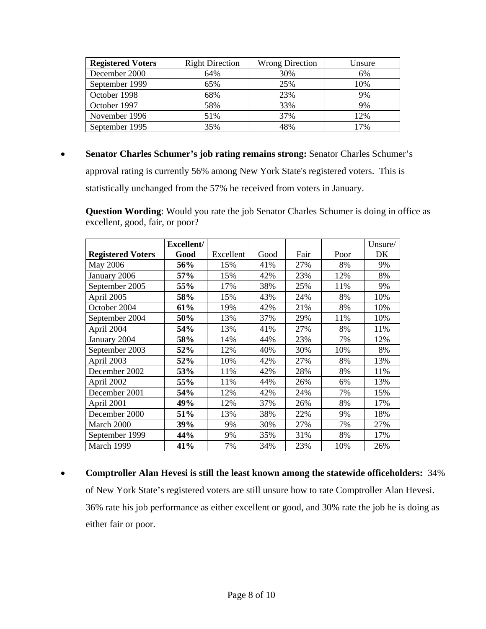| <b>Registered Voters</b> | <b>Right Direction</b> | <b>Wrong Direction</b> | Unsure |
|--------------------------|------------------------|------------------------|--------|
| December 2000            | 64%                    | 30%                    | 6%     |
| September 1999           | 65%                    | 25%                    | 10%    |
| October 1998             | 68%                    | 23%                    | 9%     |
| October 1997             | 58%                    | 33%                    | 9%     |
| November 1996            | 51%                    | 37%                    | 12%    |
| September 1995           | 35%                    | 48%                    | 17%    |

• **Senator Charles Schumer's job rating remains strong:** Senator Charles Schumer's approval rating is currently 56% among New York State's registered voters. This is statistically unchanged from the 57% he received from voters in January.

**Question Wording**: Would you rate the job Senator Charles Schumer is doing in office as excellent, good, fair, or poor?

|                          | Excellent/ |           |      |      |      | Unsure/ |
|--------------------------|------------|-----------|------|------|------|---------|
| <b>Registered Voters</b> | Good       | Excellent | Good | Fair | Poor | DK      |
| May 2006                 | 56%        | 15%       | 41%  | 27%  | 8%   | 9%      |
| January 2006             | 57%        | 15%       | 42%  | 23%  | 12%  | 8%      |
| September 2005           | 55%        | 17%       | 38%  | 25%  | 11%  | 9%      |
| April 2005               | 58%        | 15%       | 43%  | 24%  | 8%   | 10%     |
| October 2004             | 61%        | 19%       | 42%  | 21%  | 8%   | 10%     |
| September 2004           | 50%        | 13%       | 37%  | 29%  | 11%  | 10%     |
| April 2004               | 54%        | 13%       | 41%  | 27%  | 8%   | 11%     |
| January 2004             | 58%        | 14%       | 44%  | 23%  | 7%   | 12%     |
| September 2003           | 52%        | 12%       | 40%  | 30%  | 10%  | 8%      |
| April 2003               | 52%        | 10%       | 42%  | 27%  | 8%   | 13%     |
| December 2002            | 53%        | 11%       | 42%  | 28%  | 8%   | 11%     |
| April 2002               | 55%        | 11%       | 44%  | 26%  | 6%   | 13%     |
| December 2001            | 54%        | 12%       | 42%  | 24%  | 7%   | 15%     |
| April 2001               | 49%        | 12%       | 37%  | 26%  | 8%   | 17%     |
| December 2000            | 51%        | 13%       | 38%  | 22%  | 9%   | 18%     |
| March 2000               | 39%        | 9%        | 30%  | 27%  | 7%   | 27%     |
| September 1999           | 44%        | 9%        | 35%  | 31%  | 8%   | 17%     |
| March 1999               | 41%        | 7%        | 34%  | 23%  | 10%  | 26%     |

• **Comptroller Alan Hevesi is still the least known among the statewide officeholders:** 34% of New York State's registered voters are still unsure how to rate Comptroller Alan Hevesi. 36% rate his job performance as either excellent or good, and 30% rate the job he is doing as either fair or poor.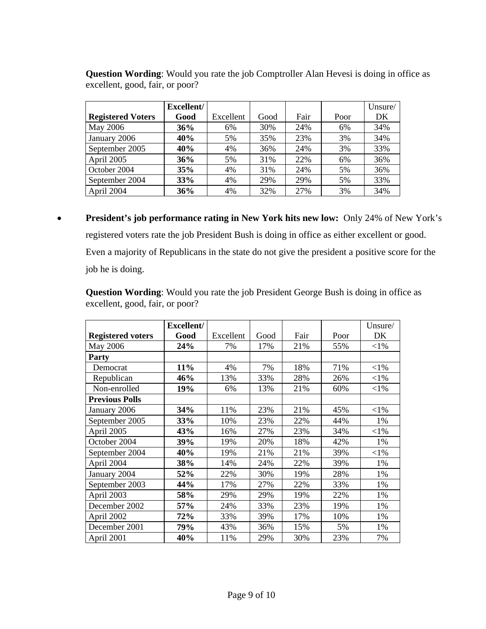|                          | Excellent/ |           |      |      |      | Unsure/ |
|--------------------------|------------|-----------|------|------|------|---------|
| <b>Registered Voters</b> | Good       | Excellent | Good | Fair | Poor | DK      |
| May 2006                 | 36%        | 6%        | 30%  | 24%  | 6%   | 34%     |
| January 2006             | 40%        | 5%        | 35%  | 23%  | 3%   | 34%     |
| September 2005           | 40%        | 4%        | 36%  | 24%  | 3%   | 33%     |
| April 2005               | 36%        | 5%        | 31%  | 22%  | 6%   | 36%     |
| October 2004             | 35%        | 4%        | 31%  | 24%  | 5%   | 36%     |
| September 2004           | 33%        | 4%        | 29%  | 29%  | 5%   | 33%     |
| April 2004               | 36%        | 4%        | 32%  | 27%  | 3%   | 34%     |

**Question Wording**: Would you rate the job Comptroller Alan Hevesi is doing in office as excellent, good, fair, or poor?

• **President's job performance rating in New York hits new low:** Only 24% of New York's registered voters rate the job President Bush is doing in office as either excellent or good. Even a majority of Republicans in the state do not give the president a positive score for the job he is doing.

**Question Wording**: Would you rate the job President George Bush is doing in office as excellent, good, fair, or poor?

|                          | Excellent/ |           |      |      |      | Unsure/  |
|--------------------------|------------|-----------|------|------|------|----------|
|                          |            |           |      |      |      |          |
| <b>Registered voters</b> | Good       | Excellent | Good | Fair | Poor | DK       |
| May 2006                 | 24%        | 7%        | 17%  | 21%  | 55%  | $<$ 1%   |
| Party                    |            |           |      |      |      |          |
| Democrat                 | 11%        | 4%        | 7%   | 18%  | 71%  | $<$ 1%   |
| Republican               | 46%        | 13%       | 33%  | 28%  | 26%  | ${<}1\%$ |
| Non-enrolled             | 19%        | 6%        | 13%  | 21%  | 60%  | $<$ 1%   |
| <b>Previous Polls</b>    |            |           |      |      |      |          |
| January 2006             | 34%        | 11%       | 23%  | 21%  | 45%  | $<$ 1%   |
| September 2005           | <b>33%</b> | 10%       | 23%  | 22%  | 44%  | 1%       |
| April 2005               | 43%        | 16%       | 27%  | 23%  | 34%  | ${<}1\%$ |
| October 2004             | 39%        | 19%       | 20%  | 18%  | 42%  | 1%       |
| September 2004           | 40%        | 19%       | 21%  | 21%  | 39%  | ${<}1\%$ |
| April 2004               | 38%        | 14%       | 24%  | 22%  | 39%  | 1%       |
| January 2004             | 52%        | 22%       | 30%  | 19%  | 28%  | 1%       |
| September 2003           | 44%        | 17%       | 27%  | 22%  | 33%  | 1%       |
| April 2003               | 58%        | 29%       | 29%  | 19%  | 22%  | 1%       |
| December 2002            | 57%        | 24%       | 33%  | 23%  | 19%  | 1%       |
| April 2002               | 72%        | 33%       | 39%  | 17%  | 10%  | 1%       |
| December 2001            | 79%        | 43%       | 36%  | 15%  | 5%   | 1%       |
| April 2001               | 40%        | 11%       | 29%  | 30%  | 23%  | 7%       |